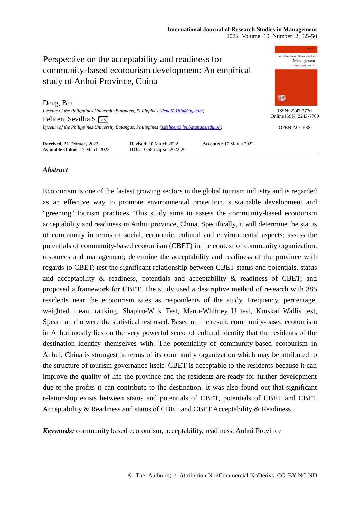### **International Journal of Research Studies in Management** 2022 Volume 10 Number 2, 35-50



# *Abstract*

Ecotourism is one of the fastest growing sectors in the global tourism industry and is regarded as an effective way to promote environmental protection, sustainable development and "greening" tourism practices. This study aims to assess the community-based ecotourism acceptability and readiness in Anhui province, China. Specifically, it will determine the status of community in terms of social, economic, cultural and environmental aspects; assess the potentials of community-based ecotourism (CBET) in the context of community organization, resources and management; determine the acceptability and readiness of the province with regards to CBET; test the significant relationship between CBET status and potentials, status and acceptability & readiness, potentials and acceptability & readiness of CBET; and proposed a framework for CBET. The study used a descriptive method of research with 385 residents near the ecotourism sites as respondents of the study. Frequency, percentage, weighted mean, ranking, Shapiro-Wilk Test, Mann-Whitney U test, Kruskal Wallis test, Spearman rho were the statistical test used. Based on the result, community-based ecotourism in Anhui mostly lies on the very powerful sense of cultural identity that the residents of the destination identify themselves with. The potentiality of community-based ecotourism in Anhui, China is strongest in terms of its community organization which may be attributed to the structure of tourism governance itself. CBET is acceptable to the residents because it can improve the quality of life the province and the residents are ready for further development due to the profits it can contribute to the destination. It was also found out that significant relationship exists between status and potentials of CBET, potentials of CBET and CBET Acceptability & Readiness and status of CBET and CBET Acceptability & Readiness.

*Keywords:* community based ecotourism, acceptability, readiness, Anhui Province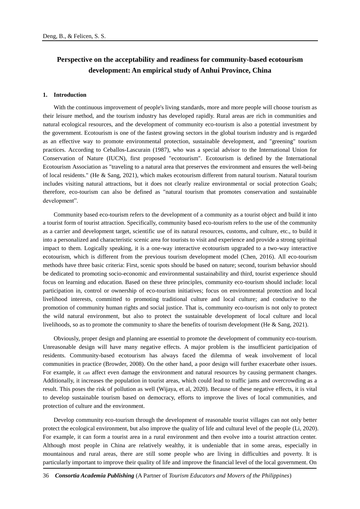# **Perspective on the acceptability and readiness for community-based ecotourism development: An empirical study of Anhui Province, China**

### **1. Introduction**

With the continuous improvement of people's living standards, more and more people will choose tourism as their leisure method, and the tourism industry has developed rapidly. Rural areas are rich in communities and natural ecological resources, and the development of community eco-tourism is also a potential investment by the government. Ecotourism is one of the fastest growing sectors in the global tourism industry and is regarded as an effective way to promote environmental protection, sustainable development, and "greening" tourism practices. According to Ceballos-Lascurain (1987), who was a special advisor to the International Union for Conservation of Nature (IUCN), first proposed "ecotourism". Ecotourism is defined by the International Ecotourism Association as "traveling to a natural area that preserves the environment and ensures the well-being of local residents." (He & Sang, 2021), which makes ecotourism different from natural tourism. Natural tourism includes visiting natural attractions, but it does not clearly realize environmental or social protection Goals; therefore, eco-tourism can also be defined as "natural tourism that promotes conservation and sustainable development".

Community based eco-tourism refers to the development of a community as a tourist object and build it into a tourist form of tourist attraction. Specifically, community based eco-tourism refers to the use of the community as a carrier and development target, scientific use of its natural resources, customs, and culture, etc., to build it into a personalized and characteristic scenic area for tourists to visit and experience and provide a strong spiritual impact to them. Logically speaking, it is a one-way interactive ecotourism upgraded to a two-way interactive ecotourism, which is different from the previous tourism development model (Chen, 2016). All eco-tourism methods have three basic criteria: First, scenic spots should be based on nature; second, tourism behavior should be dedicated to promoting socio-economic and environmental sustainability and third, tourist experience should focus on learning and education. Based on these three principles, community eco-tourism should include: local participation in, control or ownership of eco-tourism initiatives; focus on environmental protection and local livelihood interests, committed to promoting traditional culture and local culture; and conducive to the promotion of community human rights and social justice. That is, community eco-tourism is not only to protect the wild natural environment, but also to protect the sustainable development of local culture and local livelihoods, so as to promote the community to share the benefits of tourism development (He & Sang, 2021).

Obviously, proper design and planning are essential to promote the development of community eco-tourism. Unreasonable design will have many negative effects. A major problem is the insufficient participation of residents. Community-based ecotourism has always faced the dilemma of weak involvement of local communities in practice (Browder, 2008). On the other hand, a poor design will further exacerbate other issues. For example, it can affect even damage the environment and natural resources by causing permanent changes. Additionally, it increases the population in tourist areas, which could lead to traffic jams and overcrowding as a result. This poses the risk of pollution as well (Wijaya, et al, 2020). Because of these negative effects, it is vital to develop sustainable tourism based on democracy, efforts to improve the lives of local communities, and protection of culture and the environment.

Develop community eco-tourism through the development of reasonable tourist villages can not only better protect the ecological environment, but also improve the quality of life and cultural level of the people (Li, 2020). For example, it can form a tourist area in a rural environment and then evolve into a tourist attraction center. Although most people in China are relatively wealthy, it is undeniable that in some areas, especially in mountainous and rural areas, there are still some people who are living in difficulties and poverty. It is particularly important to improve their quality of life and improve the financial level of the local government. On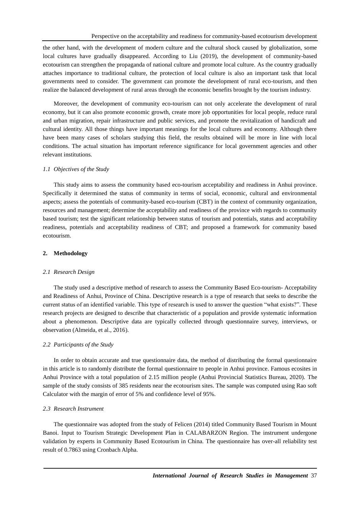the other hand, with the development of modern culture and the cultural shock caused by globalization, some local cultures have gradually disappeared. According to Liu (2019), the development of community-based ecotourism can strengthen the propaganda of national culture and promote local culture. As the country gradually attaches importance to traditional culture, the protection of local culture is also an important task that local governments need to consider. The government can promote the development of rural eco-tourism, and then realize the balanced development of rural areas through the economic benefits brought by the tourism industry.

Moreover, the development of community eco-tourism can not only accelerate the development of rural economy, but it can also promote economic growth, create more job opportunities for local people, reduce rural and urban migration, repair infrastructure and public services, and promote the revitalization of handicraft and cultural identity. All those things have important meanings for the local cultures and economy. Although there have been many cases of scholars studying this field, the results obtained will be more in line with local conditions. The actual situation has important reference significance for local government agencies and other relevant institutions.

### *1.1 Objectives of the Study*

This study aims to assess the community based eco-tourism acceptability and readiness in Anhui province. Specifically it determined the status of community in terms of social, economic, cultural and environmental aspects; assess the potentials of community-based eco-tourism (CBT) in the context of community organization, resources and management; determine the acceptability and readiness of the province with regards to community based tourism; test the significant relationship between status of tourism and potentials, status and acceptability readiness, potentials and acceptability readiness of CBT; and proposed a framework for community based ecotourism.

### **2. Methodology**

#### *2.1 Research Design*

The study used a descriptive method of research to assess the Community Based Eco-tourism- Acceptability and Readiness of Anhui, Province of China. Descriptive research is a type of research that seeks to describe the current status of an identified variable. This type of research is used to answer the question "what exists?". These research projects are designed to describe that characteristic of a population and provide systematic information about a phenomenon. Descriptive data are typically collected through questionnaire survey, interviews, or observation (Almeida, et al., 2016).

### *2.2 Participants of the Study*

In order to obtain accurate and true questionnaire data, the method of distributing the formal questionnaire in this article is to randomly distribute the formal questionnaire to people in Anhui province. Famous ecosites in Anhui Province with a total population of 2.15 million people (Anhui Provincial Statistics Bureau, 2020). The sample of the study consists of 385 residents near the ecotourism sites. The sample was computed using Rao soft Calculator with the margin of error of 5% and confidence level of 95%.

### *2.3 Research Instrument*

The questionnaire was adopted from the study of Felicen (2014) titled Community Based Tourism in Mount Banoi. Input to Tourism Strategic Development Plan in CALABARZON Region. The instrument undergone validation by experts in Community Based Ecotourism in China. The questionnaire has over-all reliability test result of 0.7863 using Cronbach Alpha.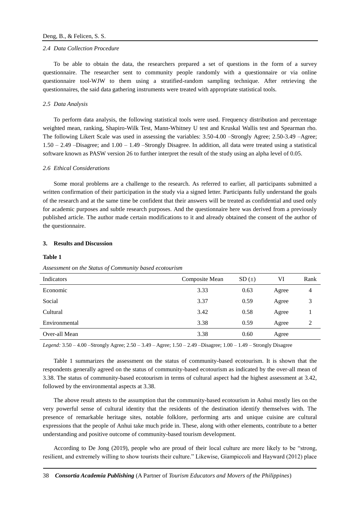#### *2.4 Data Collection Procedure*

To be able to obtain the data, the researchers prepared a set of questions in the form of a survey questionnaire. The researcher sent to community people randomly with a questionnaire or via online questionnaire tool-WJW to them using a stratified-random sampling technique. After retrieving the questionnaires, the said data gathering instruments were treated with appropriate statistical tools.

### *2.5 Data Analysis*

To perform data analysis, the following statistical tools were used. Frequency distribution and percentage weighted mean, ranking, Shapiro-Wilk Test, Mann-Whitney U test and Kruskal Wallis test and Spearman rho. The following Likert Scale was used in assessing the variables: 3.50-4.00 –Strongly Agree; 2.50-3.49 –Agree; 1.50 – 2.49 –Disagree; and 1.00 – 1.49 –Strongly Disagree. In addition, all data were treated using a statistical software known as PASW version 26 to further interpret the result of the study using an alpha level of 0.05.

### *2.6 Ethical Considerations*

Some moral problems are a challenge to the research. As referred to earlier, all participants submitted a written confirmation of their participation in the study via a signed letter. Participants fully understand the goals of the research and at the same time be confident that their answers will be treated as confidential and used only for academic purposes and subtle research purposes. And the questionnaire here was derived from a previously published article. The author made certain modifications to it and already obtained the consent of the author of the questionnaire.

#### **3. Results and Discussion**

#### **Table 1**

| Indicators    | Composite Mean | SD(±) | VI    | Rank           |
|---------------|----------------|-------|-------|----------------|
| Economic      | 3.33           | 0.63  | Agree | $\overline{4}$ |
| Social        | 3.37           | 0.59  | Agree | 3              |
| Cultural      | 3.42           | 0.58  | Agree |                |
| Environmental | 3.38           | 0.59  | Agree | 2              |
| Over-all Mean | 3.38           | 0.60  | Agree |                |

*Assessment on the Status of Community based ecotourism*

*Legend:* 3.50 – 4.00 –Strongly Agree; 2.50 – 3.49 – Agree; 1.50 – 2.49 –Disagree; 1.00 – 1.49 – Strongly Disagree

Table 1 summarizes the assessment on the status of community-based ecotourism. It is shown that the respondents generally agreed on the status of community-based ecotourism as indicated by the over-all mean of 3.38. The status of community-based ecotourism in terms of cultural aspect had the highest assessment at 3.42, followed by the environmental aspects at 3.38.

The above result attests to the assumption that the community-based ecotourism in Anhui mostly lies on the very powerful sense of cultural identity that the residents of the destination identify themselves with. The presence of remarkable heritage sites, notable folklore, performing arts and unique cuisine are cultural expressions that the people of Anhui take much pride in. These, along with other elements, contribute to a better understanding and positive outcome of community-based tourism development.

According to De Jong (2019), people who are proud of their local culture are more likely to be "strong, resilient, and extremely willing to show tourists their culture." Likewise, Giampiccoli and Hayward (2012) place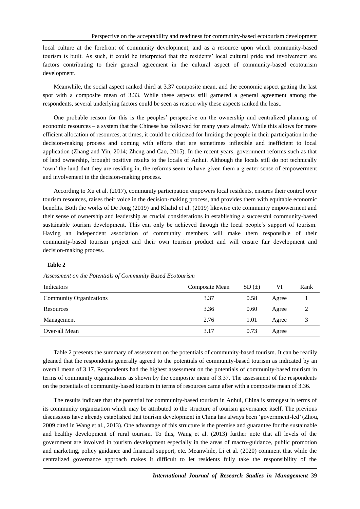local culture at the forefront of community development, and as a resource upon which community-based tourism is built. As such, it could be interpreted that the residents' local cultural pride and involvement are factors contributing to their general agreement in the cultural aspect of community-based ecotourism development.

Meanwhile, the social aspect ranked third at 3.37 composite mean, and the economic aspect getting the last spot with a composite mean of 3.33. While these aspects still garnered a general agreement among the respondents, several underlying factors could be seen as reason why these aspects ranked the least.

One probable reason for this is the peoples' perspective on the ownership and centralized planning of economic resources – a system that the Chinese has followed for many years already. While this allows for more efficient allocation of resources, at times, it could be criticized for limiting the people in their participation in the decision-making process and coming with efforts that are sometimes inflexible and inefficient to local application (Zhang and Yin, 2014; Zheng and Cao, 2015). In the recent years, government reforms such as that of land ownership, brought positive results to the locals of Anhui. Although the locals still do not technically 'own' the land that they are residing in, the reforms seem to have given them a greater sense of empowerment and involvement in the decision-making process.

According to Xu et al. (2017), community participation empowers local residents, ensures their control over tourism resources, raises their voice in the decision-making process, and provides them with equitable economic benefits. Both the works of De Jong (2019) and Khalid et al. (2019) likewise cite community empowerment and their sense of ownership and leadership as crucial considerations in establishing a successful community-based sustainable tourism development. This can only be achieved through the local people's support of tourism. Having an independent association of community members will make them responsible of their community-based tourism project and their own tourism product and will ensure fair development and decision-making process.

# **Table 2**

| Indicators                     | Composite Mean | SD(±) | VI    | Rank |  |
|--------------------------------|----------------|-------|-------|------|--|
| <b>Community Organizations</b> | 3.37           | 0.58  | Agree |      |  |
| Resources                      | 3.36           | 0.60  | Agree |      |  |
| Management                     | 2.76           | 1.01  | Agree |      |  |
| Over-all Mean                  | 3.17           | 0.73  | Agree |      |  |

*Assessment on the Potentials of Community Based Ecotourism* 

Table 2 presents the summary of assessment on the potentials of community-based tourism. It can be readily gleaned that the respondents generally agreed to the potentials of community-based tourism as indicated by an overall mean of 3.17. Respondents had the highest assessment on the potentials of community-based tourism in terms of community organizations as shown by the composite mean of 3.37. The assessment of the respondents on the potentials of community-based tourism in terms of resources came after with a composite mean of 3.36.

The results indicate that the potential for community-based tourism in Anhui, China is strongest in terms of its community organization which may be attributed to the structure of tourism governance itself. The previous discussions have already established that tourism development in China has always been 'government-led' (Zhou, 2009 cited in Wang et al., 2013). One advantage of this structure is the premise and guarantee for the sustainable and healthy development of rural tourism. To this, Wang et al. (2013) further note that all levels of the government are involved in tourism development especially in the areas of macro-guidance, public promotion and marketing, policy guidance and financial support, etc. Meanwhile, Li et al. (2020) comment that while the centralized governance approach makes it difficult to let residents fully take the responsibility of the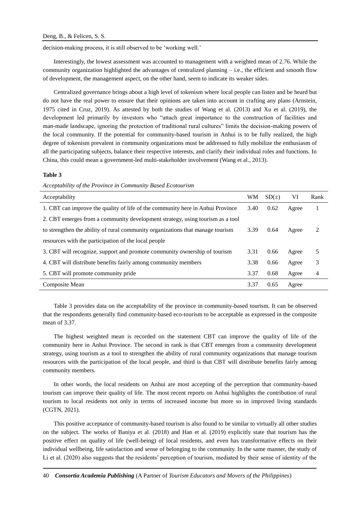decision-making process, it is still observed to be 'working well.'

Interestingly, the lowest assessment was accounted to management with a weighted mean of 2.76. While the community organization highlighted the advantages of centralized planning – i.e., the efficient and smooth flow of development, the management aspect, on the other hand, seem to indicate its weaker sides.

Centralized governance brings about a high level of tokenism where local people can listen and be heard but do not have the real power to ensure that their opinions are taken into account in crafting any plans (Arnstein, 1975 cited in Cruz, 2019). As attested by both the studies of Wang et al. (2013) and Xu et al. (2019), the development led primarily by investors who "attach great importance to the construction of facilities and man-made landscape, ignoring the protection of traditional rural cultures" limits the decision-making powers of the local community. If the potential for community-based tourism in Anhui is to be fully realized, the high degree of tokenism prevalent in community organizations must be addressed to fully mobilize the enthusiasm of all the participating subjects, balance their respective interests, and clarify their individual roles and functions. In China, this could mean a government-led multi-stakeholder involvement (Wang et al., 2013).

### **Table 3**

*Acceptability of the Province in Community Based Ecotourism* 

| Acceptability                                                                  | WM   | SD(±) | VI    | Rank |
|--------------------------------------------------------------------------------|------|-------|-------|------|
| 1. CBT can improve the quality of life of the community here in Anhui Province | 3.40 | 0.62  | Agree |      |
| 2. CBT emerges from a community development strategy, using tourism as a tool  |      |       |       |      |
| to strengthen the ability of rural community organizations that manage tourism | 3.39 | 0.64  | Agree | 2    |
| resources with the participation of the local people                           |      |       |       |      |
| 3. CBT will recognize, support and promote community ownership of tourism      | 3.31 | 0.66  | Agree | 5    |
| 4. CBT will distribute benefits fairly among community members                 | 3.38 | 0.66  | Agree | 3    |
| 5. CBT will promote community pride                                            | 3.37 | 0.68  | Agree | 4    |
| Composite Mean                                                                 | 3.37 | 0.65  | Agree |      |

Table 3 provides data on the acceptability of the province in community-based tourism. It can be observed that the respondents generally find community-based eco-tourism to be acceptable as expressed in the composite mean of 3.37.

The highest weighted mean is recorded on the statement CBT can improve the quality of life of the community here in Anhui Province. The second in rank is that CBT emerges from a community development strategy, using tourism as a tool to strengthen the ability of rural community organizations that manage tourism resources with the participation of the local people, and third is that CBT will distribute benefits fairly among community members.

In other words, the local residents on Anhui are most accepting of the perception that community-based tourism can improve their quality of life. The most recent reports on Anhui highlights the contribution of rural tourism to local residents not only in terms of increased income but more so in improved living standards (CGTN, 2021).

This positive acceptance of community-based tourism is also found to be similar to virtually all other studies on the subject. The works of Baniya et al. (2018) and Han et al. (2019) explicitly state that tourism has the positive effect on quality of life (well-being) of local residents, and even has transformative effects on their individual wellbeing, life satisfaction and sense of belonging to the community. In the same manner, the study of Li et al. (2020) also suggests that the residents' perception of tourism, mediated by their sense of identity of the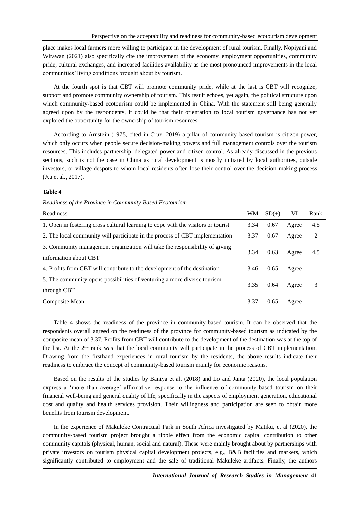place makes local farmers more willing to participate in the development of rural tourism. Finally, Nopiyani and Wirawan (2021) also specifically cite the improvement of the economy, employment opportunities, community pride, cultural exchanges, and increased facilities availability as the most pronounced improvements in the local communities' living conditions brought about by tourism.

At the fourth spot is that CBT will promote community pride, while at the last is CBT will recognize, support and promote community ownership of tourism. This result echoes, yet again, the political structure upon which community-based ecotourism could be implemented in China. With the statement still being generally agreed upon by the respondents, it could be that their orientation to local tourism governance has not yet explored the opportunity for the ownership of tourism resources.

According to Arnstein (1975, cited in Cruz, 2019) a pillar of community-based tourism is citizen power, which only occurs when people secure decision-making powers and full management controls over the tourism resources. This includes partnership, delegated power and citizen control. As already discussed in the previous sections, such is not the case in China as rural development is mostly initiated by local authorities, outside investors, or village despots to whom local residents often lose their control over the decision-making process (Xu et al., 2017).

### **Table 4**

*Readiness of the Province in Community Based Ecotourism* 

| Readiness                                                                                            | <b>WM</b> | SD(±) | VI    | Rank |
|------------------------------------------------------------------------------------------------------|-----------|-------|-------|------|
| 1. Open in fostering cross cultural learning to cope with the visitors or tourist                    | 3.34      | 0.67  | Agree | 4.5  |
| 2. The local community will participate in the process of CBT implementation                         | 3.37      | 0.67  | Agree | 2    |
| 3. Community management organization will take the responsibility of giving<br>information about CBT | 3.34      | 0.63  | Agree | 4.5  |
| 4. Profits from CBT will contribute to the development of the destination                            | 3.46      | 0.65  | Agree |      |
| 5. The community opens possibilities of venturing a more diverse tourism<br>through CBT              | 3.35      | 0.64  | Agree | 3    |
| Composite Mean                                                                                       | 3.37      | 0.65  | Agree |      |

Table 4 shows the readiness of the province in community-based tourism. It can be observed that the respondents overall agreed on the readiness of the province for community-based tourism as indicated by the composite mean of 3.37. Profits from CBT will contribute to the development of the destination was at the top of the list. At the 2nd rank was that the local community will participate in the process of CBT implementation. Drawing from the firsthand experiences in rural tourism by the residents, the above results indicate their readiness to embrace the concept of community-based tourism mainly for economic reasons.

Based on the results of the studies by Baniya et al. (2018) and Lo and Janta (2020), the local population express a 'more than average' affirmative response to the influence of community-based tourism on their financial well-being and general quality of life, specifically in the aspects of employment generation, educational cost and quality and health services provision. Their willingness and participation are seen to obtain more benefits from tourism development.

In the experience of Makuleke Contractual Park in South Africa investigated by Matiku, et al (2020), the community-based tourism project brought a ripple effect from the economic capital contribution to other community capitals (physical, human, social and natural). These were mainly brought about by partnerships with private investors on tourism physical capital development projects, e.g., B&B facilities and markets, which significantly contributed to employment and the sale of traditional Makuleke artifacts. Finally, the authors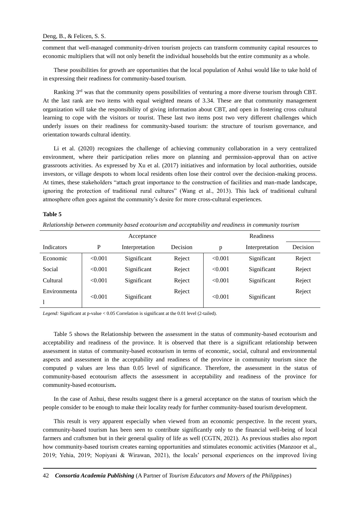comment that well-managed community-driven tourism projects can transform community capital resources to economic multipliers that will not only benefit the individual households but the entire community as a whole.

These possibilities for growth are opportunities that the local population of Anhui would like to take hold of in expressing their readiness for community-based tourism.

Ranking 3rd was that the community opens possibilities of venturing a more diverse tourism through CBT. At the last rank are two items with equal weighted means of 3.34. These are that community management organization will take the responsibility of giving information about CBT, and open in fostering cross cultural learning to cope with the visitors or tourist. These last two items post two very different challenges which underly issues on their readiness for community-based tourism: the structure of tourism governance, and orientation towards cultural identity.

Li et al. (2020) recognizes the challenge of achieving community collaboration in a very centralized environment, where their participation relies more on planning and permission-approval than on active grassroots activities. As expressed by Xu et al. (2017) initiatives and information by local authorities, outside investors, or village despots to whom local residents often lose their control over the decision-making process. At times, these stakeholders "attach great importance to the construction of facilities and man-made landscape, ignoring the protection of traditional rural cultures" (Wang et al., 2013). This lack of traditional cultural atmosphere often goes against the community's desire for more cross-cultural experiences.

### **Table 5**

*Relationship between community based ecotourism and acceptability and readiness in community tourism* 

|                   | Acceptance |                |          | <b>Readiness</b> |                |          |
|-------------------|------------|----------------|----------|------------------|----------------|----------|
| <b>Indicators</b> | P          | Interpretation | Decision | p                | Interpretation | Decision |
| Economic          | < 0.001    | Significant    | Reject   | < 0.001          | Significant    | Reject   |
| Social            | < 0.001    | Significant    | Reject   | < 0.001          | Significant    | Reject   |
| Cultural          | < 0.001    | Significant    | Reject   | < 0.001          | Significant    | Reject   |
| Environmenta      | < 0.001    |                | Reject   |                  |                | Reject   |
|                   |            | Significant    |          | < 0.001          | Significant    |          |

*Legend:* Significant at p-value < 0.05 Correlation is significant at the 0.01 level (2-tailed).

Table 5 shows the Relationship between the assessment in the status of community-based ecotourism and acceptability and readiness of the province. It is observed that there is a significant relationship between assessment in status of community-based ecotourism in terms of economic, social, cultural and environmental aspects and assessment in the acceptability and readiness of the province in community tourism since the computed p values are less than 0.05 level of significance. Therefore, the assessment in the status of community-based ecotourism affects the assessment in acceptability and readiness of the province for community-based ecotourism**.** 

In the case of Anhui, these results suggest there is a general acceptance on the status of tourism which the people consider to be enough to make their locality ready for further community-based tourism development.

This result is very apparent especially when viewed from an economic perspective. In the recent years, community-based tourism has been seen to contribute significantly only to the financial well-being of local farmers and craftsmen but in their general quality of life as well (CGTN, 2021). As previous studies also report how community-based tourism creates earning opportunities and stimulates economic activities (Manzoor et al., 2019; Yehia, 2019; Nopiyani & Wirawan, 2021), the locals' personal experiences on the improved living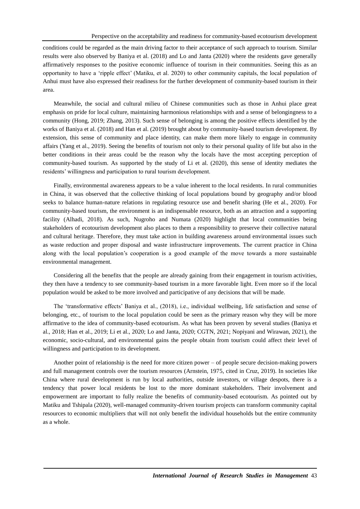conditions could be regarded as the main driving factor to their acceptance of such approach to tourism. Similar results were also observed by Baniya et al. (2018) and Lo and Janta (2020) where the residents gave generally affirmatively responses to the positive economic influence of tourism in their communities. Seeing this as an opportunity to have a 'ripple effect' (Matiku, et al. 2020) to other community capitals, the local population of Anhui must have also expressed their readiness for the further development of community-based tourism in their area.

Meanwhile, the social and cultural milieu of Chinese communities such as those in Anhui place great emphasis on pride for local culture, maintaining harmonious relationships with and a sense of belongingness to a community (Hong, 2019; Zhang, 2013). Such sense of belonging is among the positive effects identified by the works of Baniya et al. (2018) and Han et al. (2019) brought about by community-based tourism development. By extension, this sense of community and place identity, can make them more likely to engage in community affairs (Yang et al., 2019). Seeing the benefits of tourism not only to their personal quality of life but also in the better conditions in their areas could be the reason why the locals have the most accepting perception of community-based tourism. As supported by the study of Li et al. (2020), this sense of identity mediates the residents' willingness and participation to rural tourism development.

Finally, environmental awareness appears to be a value inherent to the local residents. In rural communities in China, it was observed that the collective thinking of local populations bound by geography and/or blood seeks to balance human-nature relations in regulating resource use and benefit sharing (He et al., 2020). For community-based tourism, the environment is an indispensable resource, both as an attraction and a supporting facility (Alhadi, 2018). As such, Nugroho and Numata (2020) highlight that local communities being stakeholders of ecotourism development also places to them a responsibility to preserve their collective natural and cultural heritage. Therefore, they must take action in building awareness around environmental issues such as waste reduction and proper disposal and waste infrastructure improvements. The current practice in China along with the local population's cooperation is a good example of the move towards a more sustainable environmental management.

Considering all the benefits that the people are already gaining from their engagement in tourism activities, they then have a tendency to see community-based tourism in a more favorable light. Even more so if the local population would be asked to be more involved and participative of any decisions that will be made.

The 'transformative effects' Baniya et al., (2018), i.e., individual wellbeing, life satisfaction and sense of belonging, etc., of tourism to the local population could be seen as the primary reason why they will be more affirmative to the idea of community-based ecotourism. As what has been proven by several studies (Baniya et al., 2018; Han et al., 2019; Li et al., 2020; Lo and Janta, 2020; CGTN, 2021; Nopiyani and Wirawan, 2021), the economic, socio-cultural, and environmental gains the people obtain from tourism could affect their level of willingness and participation to its development.

Another point of relationship is the need for more citizen power – of people secure decision-making powers and full management controls over the tourism resources (Arnstein, 1975, cited in Cruz, 2019). In societies like China where rural development is run by local authorities, outside investors, or village despots, there is a tendency that power local residents be lost to the more dominant stakeholders. Their involvement and empowerment are important to fully realize the benefits of community-based ecotourism. As pointed out by Matiku and Tshipala (2020), well-managed community-driven tourism projects can transform community capital resources to economic multipliers that will not only benefit the individual households but the entire community as a whole.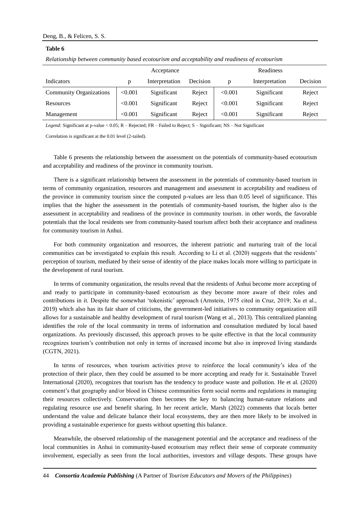### **Table 6**

|                                |         | Acceptance     |          |         | Readiness      |          |
|--------------------------------|---------|----------------|----------|---------|----------------|----------|
| Indicators                     | p       | Interpretation | Decision | D       | Interpretation | Decision |
| <b>Community Organizations</b> | < 0.001 | Significant    | Reject   | < 0.001 | Significant    | Reject   |
| Resources                      | < 0.001 | Significant    | Reject   | < 0.001 | Significant    | Reject   |
| Management                     | < 0.001 | Significant    | Reject   | < 0.001 | Significant    | Reject   |

*Relationship between community based ecotourism and acceptability and readiness of ecotourism* 

*Legend:* Significant at p-value < 0.05; R – Rejected; FR – Failed to Reject; S – Significant; NS – Not Significant

Correlation is significant at the 0.01 level (2-tailed).

Table 6 presents the relationship between the assessment on the potentials of community-based ecotourism and acceptability and readiness of the province in community tourism.

There is a significant relationship between the assessment in the potentials of community-based tourism in terms of community organization, resources and management and assessment in acceptability and readiness of the province in community tourism since the computed p-values are less than 0.05 level of significance. This implies that the higher the assessment in the potentials of community-based tourism, the higher also is the assessment in acceptability and readiness of the province in community tourism. in other words, the favorable potentials that the local residents see from community-based tourism affect both their acceptance and readiness for community tourism in Anhui.

For both community organization and resources, the inherent patriotic and nurturing trait of the local communities can be investigated to explain this result. According to Li et al. (2020) suggests that the residents' perception of tourism, mediated by their sense of identity of the place makes locals more willing to participate in the development of rural tourism.

In terms of community organization, the results reveal that the residents of Anhui become more accepting of and ready to participate in community-based ecotourism as they become more aware of their roles and contributions in it. Despite the somewhat 'tokenistic' approach (Arnstein, 1975 cited in Cruz, 2019; Xu et al., 2019) which also has its fair share of criticisms, the government-led initiatives to community organization still allows for a sustainable and healthy development of rural tourism (Wang et al., 2013). This centralized planning identifies the role of the local community in terms of information and consultation mediated by local based organizations. As previously discussed, this approach proves to be quite effective in that the local community recognizes tourism's contribution not only in terms of increased income but also in improved living standards (CGTN, 2021).

In terms of resources, when tourism activities prove to reinforce the local community's idea of the protection of their place, then they could be assumed to be more accepting and ready for it. Sustainable Travel International (2020), recognizes that tourism has the tendency to produce waste and pollution. He et al. (2020) comment's that geography and/or blood in Chinese communities form social norms and regulations in managing their resources collectively. Conservation then becomes the key to balancing human-nature relations and regulating resource use and benefit sharing. In her recent article, Marsh (2022) comments that locals better understand the value and delicate balance their local ecosystems, they are then more likely to be involved in providing a sustainable experience for guests without upsetting this balance.

Meanwhile, the observed relationship of the management potential and the acceptance and readiness of the local communities in Anhui in community-based ecotourism may reflect their sense of corporate community involvement, especially as seen from the local authorities, investors and village despots. These groups have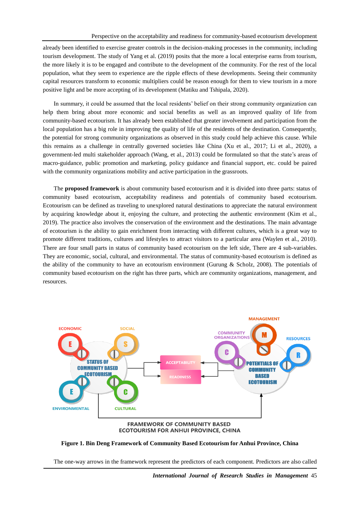already been identified to exercise greater controls in the decision-making processes in the community, including tourism development. The study of Yang et al. (2019) posits that the more a local enterprise earns from tourism, the more likely it is to be engaged and contribute to the development of the community. For the rest of the local population, what they seem to experience are the ripple effects of these developments. Seeing their community capital resources transform to economic multipliers could be reason enough for them to view tourism in a more positive light and be more accepting of its development (Matiku and Tshipala, 2020).

In summary, it could be assumed that the local residents' belief on their strong community organization can help them bring about more economic and social benefits as well as an improved quality of life from community-based ecotourism. It has already been established that greater involvement and participation from the local population has a big role in improving the quality of life of the residents of the destination. Consequently, the potential for strong community organizations as observed in this study could help achieve this cause. While this remains as a challenge in centrally governed societies like China (Xu et al., 2017; Li et al., 2020), a government-led multi stakeholder approach (Wang, et al., 2013) could be formulated so that the state's areas of macro-guidance, public promotion and marketing, policy guidance and financial support, etc. could be paired with the community organizations mobility and active participation in the grassroots.

The **proposed framework** is about community based ecotourism and it is divided into three parts: status of community based ecotourism, acceptability readiness and potentials of community based ecotourism. Ecotourism can be defined as traveling to unexplored natural destinations to appreciate the natural environment by acquiring knowledge about it, enjoying the culture, and protecting the authentic environment (Kim et al., 2019). The practice also involves the conservation of the environment and the destinations. The main advantage of ecotourism is the ability to gain enrichment from interacting with different cultures, which is a great way to promote different traditions, cultures and lifestyles to attract visitors to a particular area (Waylen et al., 2010). There are four small parts in status of community based ecotourism on the left side, There are 4 sub-variables. They are economic, social, cultural, and environmental. The status of community-based ecotourism is defined as the ability of the community to have an ecotourism environment (Gurung & Scholz, 2008). The potentials of community based ecotourism on the right has three parts, which are community organizations, management, and resources.



# **ECOTOURISM FOR ANHUI PROVINCE, CHINA**

## **Figure 1. Bin Deng Framework of Community Based Ecotourism for Anhui Province, China**

The one-way arrows in the framework represent the predictors of each component. Predictors are also called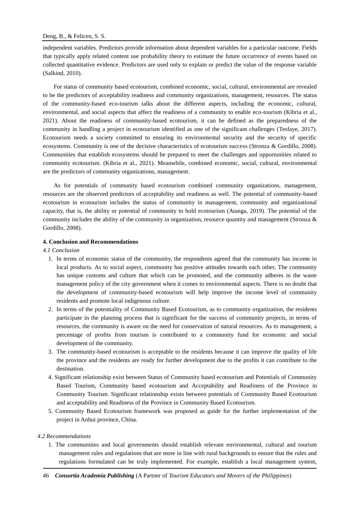independent variables. Predictors provide information about dependent variables for a particular outcome. Fields that typically apply related content use probability theory to estimate the future occurrence of events based on collected quantitative evidence. Predictors are used only to explain or predict the value of the response variable (Salkind, 2010).

For status of community based ecotourism, combined economic, social, cultural, environmental are revealed to be the predictors of acceptability readiness and community organizations, management, resources. The status of the community-based eco-tourism talks about the different aspects, including the economic, cultural, environmental, and social aspects that affect the readiness of a community to enable eco-tourism (Kibria et al., 2021). About the readiness of community-based ecotourism, it can be defined as the preparedness of the community in handling a project in ecotourism identified as one of the significant challenges (Tesfaye, 2017). Ecotourism needs a society committed to ensuring its environmental security and the security of specific ecosystems. Community is one of the decisive characteristics of ecotourism success (Stronza & Gordillo, 2008). Communities that establish ecosystems should be prepared to meet the challenges and opportunities related to community ecotourism. (Kibria et al., 2021). Meanwhile, combined economic, social, cultural, environmental are the predictors of community organizations, management.

As for potentials of community based ecotourism combined community organizations, management, resources are the observed predictors of acceptability and readiness as well. The potential of community-based ecotourism in ecotourism includes the status of community in management, community and organizational capacity, that is, the ability or potential of community to hold ecotourism (Atanga, 2019). The potential of the community includes the ability of the community in organization, resource quantity and management (Stronza & Gordillo, 2008).

# **4. Conclusion and Recommendations**

# *4.1 Conclusion*

- 1. In terms of economic status of the community, the respondents agreed that the community has income in local products. As to social aspect, community has positive attitudes towards each other, The community has unique customs and culture that which can be promoted, and the community adheres in the waste management policy of the city government when it comes to environmental aspects. There is no doubt that the development of community-based ecotourism will help improve the income level of community residents and promote local indigenous culture.
- 2. In terms of the potentiality of Community Based Ecotourism, as to community organization, the residents participate in the planning process that is significant for the success of community projects, in terms of resources, the community is aware on the need for conservation of natural resources. As to management, a percentage of profits from tourism is contributed to a community fund for economic and social development of the community.
- 3. The community-based ecotourism is acceptable to the residents because it can improve the quality of life the province and the residents are ready for further development due to the profits it can contribute to the destination.
- 4. Significant relationship exist between Status of Community based ecotourism and Potentials of Community Based Tourism, Community based ecotourism and Acceptability and Readiness of the Province in Community Tourism. Significant relationship exists between potentials of Community Based Ecotourism and acceptability and Readiness of the Province in Community Based Ecotourism.
- 5. Community Based Ecotourism framework was proposed as guide for the further implementation of the project in Anhui province, China.

### *4.2 Recommendations*

1. The communities and local governments should establish relevant environmental, cultural and tourism management rules and regulations that are more in line with rural backgrounds to ensure that the rules and regulations formulated can be truly implemented. For example, establish a local management system,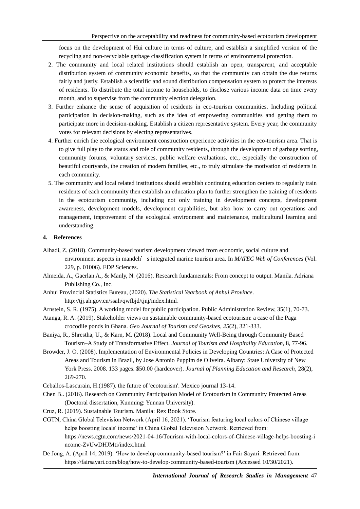focus on the development of Hui culture in terms of culture, and establish a simplified version of the recycling and non-recyclable garbage classification system in terms of environmental protection.

- 2. The community and local related institutions should establish an open, transparent, and acceptable distribution system of community economic benefits, so that the community can obtain the due returns fairly and justly. Establish a scientific and sound distribution compensation system to protect the interests of residents. To distribute the total income to households, to disclose various income data on time every month, and to supervise from the community election delegation.
- 3. Further enhance the sense of acquisition of residents in eco-tourism communities. Including political participation in decision-making, such as the idea of empowering communities and getting them to participate more in decision-making. Establish a citizen representative system. Every year, the community votes for relevant decisions by electing representatives.
- 4. Further enrich the ecological environment construction experience activities in the eco-tourism area. That is to give full play to the status and role of community residents, through the development of garbage sorting, community forums, voluntary services, public welfare evaluations, etc., especially the construction of beautiful courtyards, the creation of modern families, etc., to truly stimulate the motivation of residents in each community.
- 5. The community and local related institutions should establish continuing education centers to regularly train residents of each community then establish an education plan to further strengthen the training of residents in the ecotourism community, including not only training in development concepts, development awareness, development models, development capabilities, but also how to carry out operations and management, improvement of the ecological environment and maintenance, multicultural learning and understanding.

# **4. References**

- Alhadi, Z. (2018). Community-based tourism development viewed from economic, social culture and environment aspects in mandeh's integrated marine tourism area. In *MATEC Web of Conferences* (Vol. 229, p. 01006). EDP Sciences.
- Almeida, A., Gaerlan A., & Manly, N. (2016). Research fundamentals: From concept to output. Manila. Adriana Publishing Co., Inc.
- Anhui Provincial Statistics Bureau, (2020). *The Statistical Yearbook of Anhui Province*. <http://tjj.ah.gov.cn/ssah/qwfbjd/tjnj/index.html>.
- Arnstein, S. R. (1975). A working model for public participation. Public Administration Review, 35(1), 70-73.
- Atanga, R. A. (2019). Stakeholder views on sustainable community-based ecotourism: a case of the Paga crocodile ponds in Ghana. *Geo Journal of Tourism and Geosites*, *25*(2), 321-333.
- Baniya, R., Shrestha, U., & Karn, M. (2018). Local and Community Well-Being through Community Based Tourism–A Study of Transformative Effect. *Journal of Tourism and Hospitality Education*, 8, 77-96.
- Browder, J. O. (2008). Implementation of Environmental Policies in Developing Countries: A Case of Protected Areas and Tourism in Brazil, by Jose Antonio Puppim de Oliveira. Albany: State University of New York Press. 2008. 133 pages. \$50.00 (hardcover). *Journal of Planning Education and Research*, 28(2), 269-270.
- Ceballos-Lascurain, H.(1987). the future of 'ecotourism'. Mexico journal 13-14.
- Chen B.. (2016). Research on Community Participation Model of Ecotourism in Community Protected Areas (Doctoral dissertation, Kunming: Yunnan University).
- Cruz, R. (2019). Sustainable Tourism. Manila: Rex Book Store.
- CGTN, China Global Television Network (April 16, 2021). 'Tourism featuring local colors of Chinese village helps boosting locals' income' in China Global Television Network. Retrieved from: https://news.cgtn.com/news/2021-04-16/Tourism-with-local-colors-of-Chinese-village-helps-boosting-i ncome-ZvUwDHJMti/index.html
- De Jong, A. (April 14, 2019). 'How to develop community-based tourism?' in Fair Sayari. Retrieved from: https://fairsayari.com/blog/how-to-develop-community-based-tourism (Accessed 10/30/2021).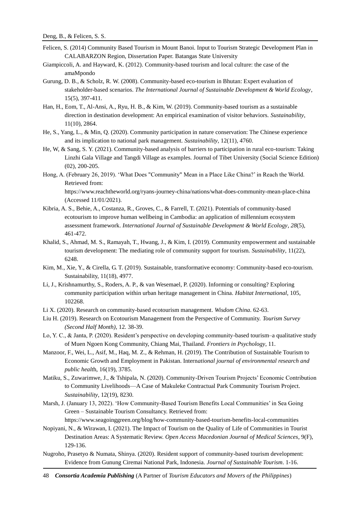- Felicen, S. (2014) Community Based Tourism in Mount Banoi. Input to Tourism Strategic Development Plan in CALABARZON Region, Dissertation Paper. Batangas State University
- Giampiccoli, A. and Hayward, K. (2012). Community-based tourism and local culture: the case of the amaMpondo
- Gurung, D. B., & Scholz, R. W. (2008). Community-based eco-tourism in Bhutan: Expert evaluation of stakeholder-based scenarios. *The International Journal of Sustainable Development & World Ecology*, 15(5), 397-411.
- Han, H., Eom, T., Al-Ansi, A., Ryu, H. B., & Kim, W. (2019). Community-based tourism as a sustainable direction in destination development: An empirical examination of visitor behaviors. *Sustainability*, 11(10), 2864.
- He, S., Yang, L., & Min, Q. (2020). Community participation in nature conservation: The Chinese experience and its implication to national park management. *Sustainability*, 12(11), 4760.
- He, W, & Sang, S. Y. (2021). Community-based analysis of barriers to participation in rural eco-tourism: Taking Linzhi Gala Village and Tangdi Village as examples. Journal of Tibet University (Social Science Edition) (02), 200-205.
- Hong, A. (February 26, 2019). 'What Does "Community" Mean in a Place Like China?' in Reach the World. Retrieved from: https://www.reachtheworld.org/ryans-journey-china/nations/what-does-community-mean-place-china

(Accessed 11/01/2021).

- Kibria, A. S., Behie, A., Costanza, R., Groves, C., & Farrell, T. (2021). Potentials of community-based ecotourism to improve human wellbeing in Cambodia: an application of millennium ecosystem assessment framework. *International Journal of Sustainable Development & World Ecology*, *28*(5), 461-472.
- Khalid, S., Ahmad, M. S., Ramayah, T., Hwang, J., & Kim, I. (2019). Community empowerment and sustainable tourism development: The mediating role of community support for tourism. *Sustainability*, 11(22), 6248.
- Kim, M., Xie, Y., & Cirella, G. T. (2019). Sustainable, transformative economy: Community-based eco-tourism. Sustainability, 11(18), 4977.
- Li, J., Krishnamurthy, S., Roders, A. P., & van Wesemael, P. (2020). Informing or consulting? Exploring community participation within urban heritage management in China. *Habitat International*, 105, 102268.
- Li X. (2020). Research on community-based ecotourism management. *Wisdom China*. 62-63.
- Liu H. (2019). Research on Ecotourism Management from the Perspective of Community. *Tourism Survey (Second Half Month)*, 12. 38-39.
- Lo, Y. C., & Janta, P. (2020). Resident's perspective on developing community-based tourism–a qualitative study of Muen Ngoen Kong Community, Chiang Mai, Thailand. *Frontiers in Psychology*, 11.
- Manzoor, F., Wei, L., Asif, M., Haq, M. Z., & Rehman, H. (2019). The Contribution of Sustainable Tourism to Economic Growth and Employment in Pakistan. Intern*ational journal of environmental research and public healt*h, 16(19), 3785.
- Matiku, S., Zuwarimwe, J., & Tshipala, N. (2020). Community-Driven Tourism Projects' Economic Contribution to Community Livelihoods—A Case of Makuleke Contractual Park Community Tourism Project. *Sustainability*, 12(19), 8230.
- Marsh, J. (January 13, 2022). 'How Community-Based Tourism Benefits Local Communities' in Sea Going Green – Sustainable Tourism Consultancy. Retrieved from:

https://www.seagoinggreen.org/blog/how-community-based-tourism-benefits-local-communities

- Nopiyani, N., & Wirawan, I. (2021). The Impact of Tourism on the Quality of Life of Communities in Tourist Destination Areas: A Systematic Review. *Open Access Macedonian Journal of Medical Sciences*, 9(F), 129-136.
- Nugroho, Prasetyo & Numata, Shinya. (2020). Resident support of community-based tourism development: Evidence from Gunung Ciremai National Park, Indonesia. *Journal of Sustainable Tourism*. 1-16.

48 *Consortia Academia Publishing* (A Partner of *Tourism Educators and Movers of the Philippines*)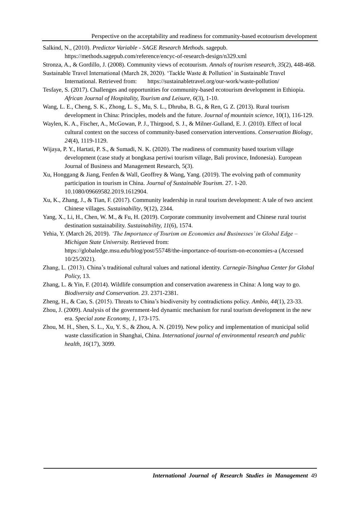- Salkind, N., (2010). *Predictor Variable - SAGE Research Methods*. sagepub.
	- https://methods.sagepub.com/reference/encyc-of-research-design/n329.xml
- Stronza, A., & Gordillo, J. (2008). Community views of ecotourism. *Annals of tourism research*, *35*(2), 448-468.
- Sustainable Travel International (March 28, 2020). 'Tackle Waste & Pollution' in Sustainable Travel International. Retrieved from: https://sustainabletravel.org/our-work/waste-pollution/
- Tesfaye, S. (2017). Challenges and opportunities for community-based ecotourism development in Ethiopia. *African Journal of Hospitality, Tourism and Leisure*, *6*(3), 1-10.
- Wang, L. E., Cheng, S. K., Zhong, L. S., Mu, S. L., Dhruba, B. G., & Ren, G. Z. (2013). Rural tourism development in China: Principles, models and the future. *Journal of mountain science*, 10(1), 116-129.
- Waylen, K. A., Fischer, A., McGowan, P. J., Thirgood, S. J., & Milner‐Gulland, E. J. (2010). Effect of local cultural context on the success of community‐based conservation interventions. *Conservation Biology*, *24*(4), 1119-1129.
- Wijaya, P. Y., Hartati, P. S., & Sumadi, N. K. (2020). The readiness of community based tourism village development (case study at bongkasa pertiwi tourism village, Bali province, Indonesia). European Journal of Business and Management Research, 5(3).
- Xu, Honggang & Jiang, Fenfen & Wall, Geoffrey & Wang, Yang. (2019). The evolving path of community participation in tourism in China. *Journal of Sustainable Tourism.* 27. 1-20. 10.1080/09669582.2019.1612904.
- Xu, K., Zhang, J., & Tian, F. (2017). Community leadership in rural tourism development: A tale of two ancient Chinese villages. *Sustainability*, 9(12), 2344.
- Yang, X., Li, H., Chen, W. M., & Fu, H. (2019). Corporate community involvement and Chinese rural tourist destination sustainability. *Sustainability, 11*(6), 1574.
- Yehia, Y. (March 26, 2019). *'The Importance of Tourism on Economies and Businesses' in Global Edge – Michigan State University.* Retrieved from: https://globaledge.msu.edu/blog/post/55748/the-importance-of-tourism-on-economies-a (Accessed 10/25/2021).
- Zhang, L. (2013). China's traditional cultural values and national identity. *Carnegie-Tsinghua Center for Global Policy,* 13.
- Zhang, L. & Yin, F. (2014). Wildlife consumption and conservation awareness in China: A long way to go. *Biodiversity and Conservation. 23*. 2371-2381.
- Zheng, H., & Cao, S. (2015). Threats to China's biodiversity by contradictions policy. *Ambio, 44*(1), 23-33.
- Zhou, J. (2009). Analysis of the government-led dynamic mechanism for rural tourism development in the new era. *Special zone Economy, 1,* 173-175.
- Zhou, M. H., Shen, S. L., Xu, Y. S., & Zhou, A. N. (2019). New policy and implementation of municipal solid waste classification in Shanghai, China. *International journal of environmental research and public health, 16*(17), 3099.